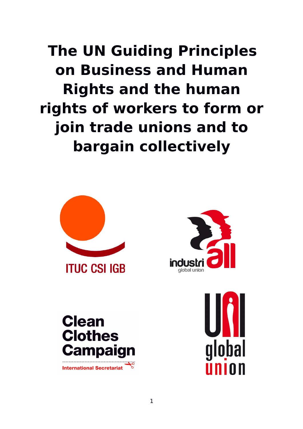**The UN Guiding Principles on Business and Human Rights and the human rights of workers to form or join trade unions and to bargain collectively**





**Clean Clothes Campaign** International Secretariat

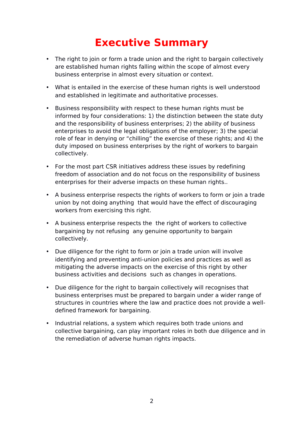# **Executive Summary**

- The right to join or form a trade union and the right to bargain collectively are established human rights falling within the scope of almost every business enterprise in almost every situation or context.
- What is entailed in the exercise of these human rights is well understood and established in legitimate and authoritative processes.
- Business responsibility with respect to these human rights must be informed by four considerations: 1) the distinction between the state duty and the responsibility of business enterprises; 2) the ability of business enterprises to avoid the legal obligations of the employer; 3) the special role of fear in denying or "chilling" the exercise of these rights; and 4) the duty imposed on business enterprises by the right of workers to bargain collectively.
- For the most part CSR initiatives address these issues by redefining freedom of association and do not focus on the responsibility of business enterprises for their adverse impacts on these human rights..
- A business enterprise respects the rights of workers to form or join a trade union by not doing anything that would have the effect of discouraging workers from exercising this right.
- A business enterprise respects the the right of workers to collective bargaining by not refusing any genuine opportunity to bargain collectively.
- Due diligence for the right to form or join a trade union will involve identifying and preventing anti-union policies and practices as well as mitigating the adverse impacts on the exercise of this right by other business activities and decisions such as changes in operations.
- Due diligence for the right to bargain collectively will recognises that business enterprises must be prepared to bargain under a wider range of structures in countries where the law and practice does not provide a welldefined framework for bargaining.
- Industrial relations, a system which requires both trade unions and collective bargaining, can play important roles in both due diligence and in the remediation of adverse human rights impacts.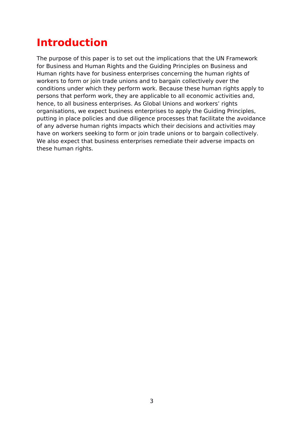# **Introduction**

The purpose of this paper is to set out the implications that the UN Framework for Business and Human Rights and the Guiding Principles on Business and Human rights have for business enterprises concerning the human rights of workers to form or join trade unions and to bargain collectively over the conditions under which they perform work. Because these human rights apply to persons that perform work, they are applicable to all economic activities and, hence, to all business enterprises. As Global Unions and workers' rights organisations, we expect business enterprises to apply the Guiding Principles, putting in place policies and due diligence processes that facilitate the avoidance of any adverse human rights impacts which their decisions and activities may have on workers seeking to form or join trade unions or to bargain collectively. We also expect that business enterprises remediate their adverse impacts on these human rights.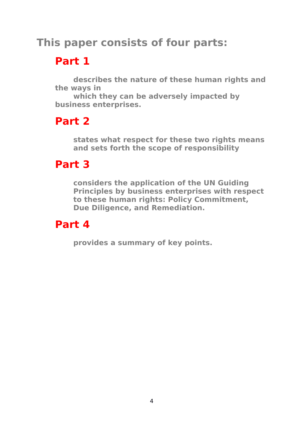# **This paper consists of four parts:**

# **Part 1**

**describes the nature of these human rights and the ways in**

**which they can be adversely impacted by business enterprises.** 

# **Part 2**

**states what respect for these two rights means and sets forth the scope of responsibility** 

# **Part 3**

**considers the application of the UN Guiding Principles by business enterprises with respect to these human rights: Policy Commitment, Due Diligence, and Remediation.**

# **Part 4**

**provides a summary of key points.**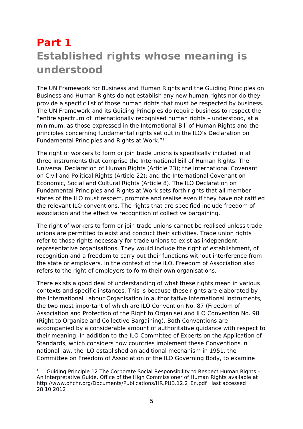# **Part 1 Established rights whose meaning is understood**

The UN Framework for Business and Human Rights and the Guiding Principles on Business and Human Rights do not establish any new human rights nor do they provide a specific list of those human rights that must be respected by business. The UN Framework and its Guiding Principles do require business to respect the "entire spectrum of internationally recognised human rights – understood, at a minimum, as those expressed in the International Bill of Human Rights and the principles concerning fundamental rights set out in the ILO's Declaration on Fundamental Principles and Rights at Work."[1](#page-4-0)

The right of workers to form or join trade unions is specifically included in all three instruments that comprise the International Bill of Human Rights: The Universal Declaration of Human Rights (Article 23); the International Covenant on Civil and Political Rights (Article 22); and the International Covenant on Economic, Social and Cultural Rights (Article 8). The ILO Declaration on Fundamental Principles and Rights at Work sets forth rights that all member states of the ILO must respect, promote and realise even if they have not ratified the relevant ILO conventions. The rights that are specified include freedom of association and the effective recognition of collective bargaining.

The right of workers to form or join trade unions cannot be realised unless trade unions are permitted to exist and conduct their activities. Trade union rights refer to those rights necessary for trade unions to exist as independent, representative organisations. They would include the right of establishment, of recognition and a freedom to carry out their functions without interference from the state or employers. In the context of the ILO, Freedom of Association also refers to the right of employers to form their own organisations.

There exists a good deal of understanding of what these rights mean in various contexts and specific instances. This is because these rights are elaborated by the International Labour Organisation in authoritative international instruments, the two most important of which are ILO Convention No. 87 (Freedom of Association and Protection of the Right to Organise) and ILO Convention No. 98 (Right to Organise and Collective Bargaining). Both Conventions are accompanied by a considerable amount of authoritative guidance with respect to their meaning. In addition to the ILO Committee of Experts on the Application of Standards, which considers how countries implement these Conventions in national law, the ILO established an additional mechanism in 1951, the Committee on Freedom of Association of the ILO Governing Body, to examine

<span id="page-4-0"></span><sup>1</sup> Guiding Principle 12 The Corporate Social Responsibility to Respect Human Rights – An Interpretative Guide, Office of the High Commissioner of Human Rights available at http://www.ohchr.org/Documents/Publications/HR.PUB.12.2\_En.pdf last accessed 28.10.2012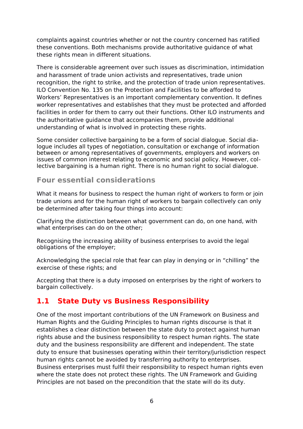complaints against countries whether or not the country concerned has ratified these conventions. Both mechanisms provide authoritative guidance of what these rights mean in different situations.

There is considerable agreement over such issues as discrimination, intimidation and harassment of trade union activists and representatives, trade union recognition, the right to strike, and the protection of trade union representatives. ILO Convention No. 135 on the Protection and Facilities to be afforded to Workers' Representatives is an important complementary convention. It defines worker representatives and establishes that they must be protected and afforded facilities in order for them to carry out their functions. Other ILO instruments and the authoritative guidance that accompanies them, provide additional understanding of what is involved in protecting these rights.

Some consider collective bargaining to be a form of social dialogue. Social dialogue includes all types of negotiation, consultation or exchange of information between or among representatives of governments, employers and workers on issues of common interest relating to economic and social policy. However, collective bargaining is a human right. There is no human right to social dialogue.

### **Four essential considerations**

What it means for business to respect the human right of workers to form or join trade unions and for the human right of workers to bargain collectively can only be determined after taking four things into account:

Clarifying the distinction between what government can do, on one hand, with what enterprises can do on the other;

Recognising the increasing ability of business enterprises to avoid the legal obligations of the employer;

Acknowledging the special role that fear can play in denying or in "chilling" the exercise of these rights; and

Accepting that there is a duty imposed on enterprises by the right of workers to bargain collectively.

### **1.1 State Duty vs Business Responsibility**

One of the most important contributions of the UN Framework on Business and Human Rights and the Guiding Principles to human rights discourse is that it establishes a clear distinction between the state duty to protect against human rights abuse and the business responsibility to respect human rights. The state duty and the business responsibility are different and independent. The state duty to ensure that businesses operating within their territory/jurisdiction respect human rights cannot be avoided by transferring authority to enterprises. Business enterprises must fulfil their responsibility to respect human rights even where the state does not protect these rights. The UN Framework and Guiding Principles are not based on the precondition that the state will do its duty.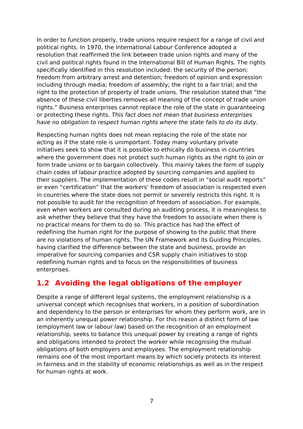In order to function properly, trade unions require respect for a range of civil and political rights. In 1970, the International Labour Conference adopted a resolution that reaffirmed the link between trade union rights and many of the civil and political rights found in the International Bill of Human Rights. The rights specifically identified in this resolution included: the security of the person; freedom from arbitrary arrest and detention; freedom of opinion and expression including through media; freedom of assembly; the right to a fair trial; and the right to the protection of property of trade unions. The resolution stated that "the absence of these civil liberties removes all meaning of the concept of trade union rights." Business enterprises cannot replace the role of the state in guaranteeing or protecting these rights. This fact does not mean that business enterprises have no obligation to respect human rights where the state fails to do its duty.

Respecting human rights does not mean replacing the role of the state nor acting as if the state role is unimportant. Today many voluntary private initiatives seek to show that it is possible to ethically do business in countries where the government does not protect such human rights as the right to join or form trade unions or to bargain collectively. This mainly takes the form of supply chain codes of labour practice adopted by sourcing companies and applied to their suppliers. The implementation of these codes result in "social audit reports" or even "certification" that the workers' freedom of association is respected even in countries where the state does not permit or severely restricts this right. It is not possible to audit for the recognition of freedom of association. For example, even when workers are consulted during an auditing process, it is meaningless to ask whether they believe that they have the freedom to associate when there is no practical means for them to do so. This practice has had the effect of redefining the human right for the purpose of showing to the public that there are no violations of human rights. The UN Framework and its Guiding Principles, having clarified the difference between the state and business, provide an imperative for sourcing companies and CSR supply chain initiatives to stop redefining human rights and to focus on the responsibilities of business enterprises.

### **1.2 Avoiding the legal obligations of the employer**

Despite a range of different legal systems, the employment relationship is a universal concept which recognises that workers, in a position of subordination and dependency to the person or enterprises for whom they perform work, are in an inherently unequal power relationship. For this reason a distinct form of law (employment law or labour law) based on the recognition of an employment relationship, seeks to balance this unequal power by creating a range of rights and obligations intended to protect the worker while recognising the mutual obligations of both employers and employees. The employment relationship remains one of the most important means by which society protects its interest in fairness and in the stability of economic relationships as well as in the respect for human rights at work.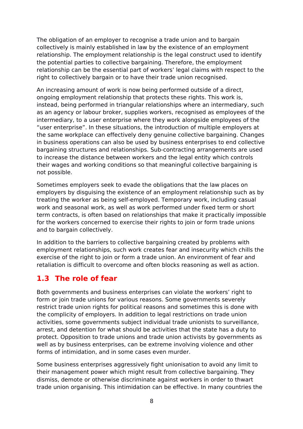The obligation of an employer to recognise a trade union and to bargain collectively is mainly established in law by the existence of an employment relationship. The employment relationship is the legal construct used to identify the potential parties to collective bargaining. Therefore, the employment relationship can be the essential part of workers' legal claims with respect to the right to collectively bargain or to have their trade union recognised.

An increasing amount of work is now being performed outside of a direct, ongoing employment relationship that protects these rights. This work is, instead, being performed in triangular relationships where an intermediary, such as an agency or labour broker, supplies workers, recognised as employees of the intermediary, to a user enterprise where they work alongside employees of the "user enterprise". In these situations, the introduction of multiple employers at the same workplace can effectively deny genuine collective bargaining. Changes in business operations can also be used by business enterprises to end collective bargaining structures and relationships. Sub-contracting arrangements are used to increase the distance between workers and the legal entity which controls their wages and working conditions so that meaningful collective bargaining is not possible.

Sometimes employers seek to evade the obligations that the law places on employers by disguising the existence of an employment relationship such as by treating the worker as being self-employed. Temporary work, including casual work and seasonal work, as well as work performed under fixed term or short term contracts, is often based on relationships that make it practically impossible for the workers concerned to exercise their rights to join or form trade unions and to bargain collectively.

In addition to the barriers to collective bargaining created by problems with employment relationships, such work creates fear and insecurity which chills the exercise of the right to join or form a trade union. An environment of fear and retaliation is difficult to overcome and often blocks reasoning as well as action.

### **1.3 The role of fear**

Both governments and business enterprises can violate the workers' right to form or join trade unions for various reasons. Some governments severely restrict trade union rights for political reasons and sometimes this is done with the complicity of employers. In addition to legal restrictions on trade union activities, some governments subject individual trade unionists to surveillance, arrest, and detention for what should be activities that the state has a duty to protect. Opposition to trade unions and trade union activists by governments as well as by business enterprises, can be extreme involving violence and other forms of intimidation, and in some cases even murder.

Some business enterprises aggressively fight unionisation to avoid any limit to their management power which might result from collective bargaining. They dismiss, demote or otherwise discriminate against workers in order to thwart trade union organising. This intimidation can be effective. In many countries the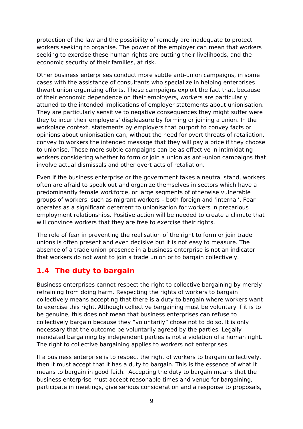protection of the law and the possibility of remedy are inadequate to protect workers seeking to organise. The power of the employer can mean that workers seeking to exercise these human rights are putting their livelihoods, and the economic security of their families, at risk.

Other business enterprises conduct more subtle anti-union campaigns, in some cases with the assistance of consultants who specialize in helping enterprises thwart union organizing efforts. These campaigns exploit the fact that, because of their economic dependence on their employers, workers are particularly attuned to the intended implications of employer statements about unionisation. They are particularly sensitive to negative consequences they might suffer were they to incur their employers' displeasure by forming or joining a union. In the workplace context, statements by employers that purport to convey facts or opinions about unionisation can, without the need for overt threats of retaliation, convey to workers the intended message that they will pay a price if they choose to unionise. These more subtle campaigns can be as effective in intimidating workers considering whether to form or join a union as anti-union campaigns that involve actual dismissals and other overt acts of retaliation.

Even if the business enterprise or the government takes a neutral stand, workers often are afraid to speak out and organize themselves in sectors which have a predominantly female workforce, or large segments of otherwise vulnerable groups of workers, such as migrant workers – both foreign and 'internal'. Fear operates as a significant deterrent to unionisation for workers in precarious employment relationships. Positive action will be needed to create a climate that will convince workers that they are free to exercise their rights.

The role of fear in preventing the realisation of the right to form or join trade unions is often present and even decisive but it is not easy to measure. The absence of a trade union presence in a business enterprise is not an indicator that workers do not want to join a trade union or to bargain collectively.

## **1.4 The duty to bargain**

Business enterprises cannot respect the right to collective bargaining by merely refraining from doing harm. Respecting the rights of workers to bargain collectively means accepting that there is a duty to bargain where workers want to exercise this right. Although collective bargaining must be voluntary if it is to be genuine, this does not mean that business enterprises can refuse to collectively bargain because they "voluntarily" chose not to do so. It is only necessary that the outcome be voluntarily agreed by the parties. Legally mandated bargaining by independent parties is not a violation of a human right. The right to collective bargaining applies to workers not enterprises.

If a business enterprise is to respect the right of workers to bargain collectively, then it must accept that it has a duty to bargain. This is the essence of what it means to bargain in good faith. Accepting the duty to bargain means that the business enterprise must accept reasonable times and venue for bargaining, participate in meetings, give serious consideration and a response to proposals,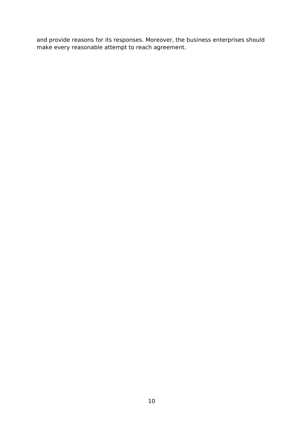and provide reasons for its responses. Moreover, the business enterprises should make every reasonable attempt to reach agreement.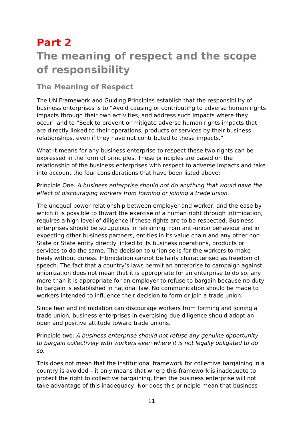# **Part 2 The meaning of respect and the scope of responsibility**

## **The Meaning of Respect**

The UN Framework and Guiding Principles establish that the responsibility of business enterprises is to "Avoid causing or contributing to adverse human rights impacts through their own activities, and address such impacts where they occur" and to "Seek to prevent or mitigate adverse human rights impacts that are directly linked to their operations, products or services by their business relationships, even if they have not contributed to those impacts."

What it means for any business enterprise to respect these two rights can be expressed in the form of principles. These principles are based on the relationship of the business enterprises with respect to adverse impacts and take into account the four considerations that have been listed above:

Principle One: A business enterprise should not do anything that would have the effect of discouraging workers from forming or joining a trade union.

The unequal power relationship between employer and worker, and the ease by which it is possible to thwart the exercise of a human right through intimidation, requires a high level of diligence if these rights are to be respected. Business enterprises should be scrupulous in refraining from anti-union behaviour and in expecting other business partners, entities in its value chain and any other non-State or State entity directly linked to its business operations, products or services to do the same. The decision to unionise is for the workers to make freely without duress. Intimidation cannot be fairly characterised as freedom of speech. The fact that a country's laws permit an enterprise to campaign against unionization does not mean that it is appropriate for an enterprise to do so, any more than it is appropriate for an employer to refuse to bargain because no duty to bargain is established in national law. No communication should be made to workers intended to influence their decision to form or join a trade union.

Since fear and intimidation can discourage workers from forming and joining a trade union, business enterprises in exercising due diligence should adopt an open and positive attitude toward trade unions.

Principle two: A business enterprise should not refuse any genuine opportunity to bargain collectively with workers even where it is not legally obligated to do so.

This does not mean that the institutional framework for collective bargaining in a country is avoided – it only means that where this framework is inadequate to protect the right to collective bargaining, then the business enterprise will not take advantage of this inadequacy. Nor does this principle mean that business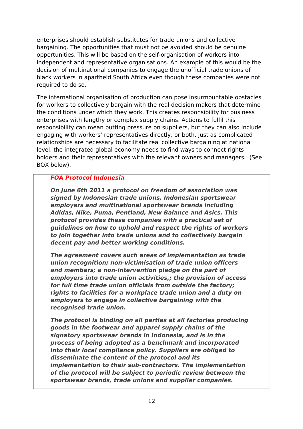enterprises should establish substitutes for trade unions and collective bargaining. The opportunities that must not be avoided should be genuine opportunities. This will be based on the self-organisation of workers into independent and representative organisations. An example of this would be the decision of multinational companies to engage the unofficial trade unions of black workers in apartheid South Africa even though these companies were not required to do so.

The international organisation of production can pose insurmountable obstacles for workers to collectively bargain with the real decision makers that determine the conditions under which they work. This creates responsibility for business enterprises with lengthy or complex supply chains. Actions to fulfil this responsibility can mean putting pressure on suppliers, but they can also include engaging with workers' representatives directly, or both. Just as complicated relationships are necessary to facilitate real collective bargaining at national level, the integrated global economy needs to find ways to connect rights holders and their representatives with the relevant owners and managers. (See BOX below).

### **FOA Protocol Indonesia**

**On June 6th 2011 a protocol on freedom of association was signed by Indonesian trade unions, Indonesian sportswear employers and multinational sportswear brands including Adidas, Nike, Puma, Pentland, New Balance and Asics. This protocol provides these companies with a practical set of guidelines on how to uphold and respect the rights of workers to join together into trade unions and to collectively bargain decent pay and better working conditions.** 

**The agreement covers such areas of implementation as trade union recognition; non-victimisation of trade union officers and members; a non-intervention pledge on the part of employers into trade union activities,; the provision of access for full time trade union officials from outside the factory; rights to facilities for a workplace trade union and a duty on employers to engage in collective bargaining with the recognised trade union.** 

**The protocol is binding on all parties at all factories producing goods in the footwear and apparel supply chains of the signatory sportswear brands in Indonesia, and is in the process of being adopted as a benchmark and incorporated into their local compliance policy. Suppliers are obliged to disseminate the content of the protocol and its implementation to their sub-contractors. The implementation of the protocol will be subject to periodic review between the sportswear brands, trade unions and supplier companies.**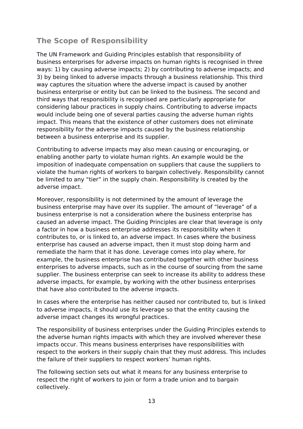## **The Scope of Responsibility**

The UN Framework and Guiding Principles establish that responsibility of business enterprises for adverse impacts on human rights is recognised in three ways: 1) by causing adverse impacts; 2) by contributing to adverse impacts; and 3) by being linked to adverse impacts through a business relationship. This third way captures the situation where the adverse impact is caused by another business enterprise or entity but can be linked to the business. The second and third ways that responsibility is recognised are particularly appropriate for considering labour practices in supply chains. Contributing to adverse impacts would include being one of several parties causing the adverse human rights impact. This means that the existence of other customers does not eliminate responsibility for the adverse impacts caused by the business relationship between a business enterprise and its supplier.

Contributing to adverse impacts may also mean causing or encouraging, or enabling another party to violate human rights. An example would be the imposition of inadequate compensation on suppliers that cause the suppliers to violate the human rights of workers to bargain collectively. Responsibility cannot be limited to any "tier" in the supply chain. Responsibility is created by the adverse impact.

Moreover, responsibility is not determined by the amount of leverage the business enterprise may have over its supplier. The amount of "leverage" of a business enterprise is not a consideration where the business enterprise has caused an adverse impact. The Guiding Principles are clear that leverage is only a factor in how a business enterprise addresses its responsibility when it contributes to, or is linked to, an adverse impact. In cases where the business enterprise has caused an adverse impact, then it must stop doing harm and remediate the harm that it has done. Leverage comes into play where, for example, the business enterprise has contributed together with other business enterprises to adverse impacts, such as in the course of sourcing from the same supplier. The business enterprise can seek to increase its ability to address these adverse impacts, for example, by working with the other business enterprises that have also contributed to the adverse impacts.

In cases where the enterprise has neither caused nor contributed to, but is linked to adverse impacts, it should use its leverage so that the entity causing the adverse impact changes its wrongful practices.

The responsibility of business enterprises under the Guiding Principles extends to the adverse human rights impacts with which they are involved wherever these impacts occur. This means business enterprises have responsibilities with respect to the workers in their supply chain that they must address. This includes the failure of their suppliers to respect workers' human rights.

The following section sets out what it means for any business enterprise to respect the right of workers to join or form a trade union and to bargain collectively.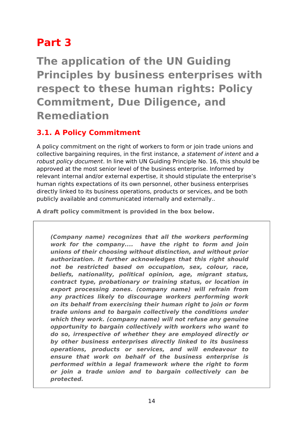# **Part 3**

**The application of the UN Guiding Principles by business enterprises with respect to these human rights: Policy Commitment, Due Diligence, and Remediation**

## **3.1. A Policy Commitment**

A policy commitment on the right of workers to form or join trade unions and collective bargaining requires, in the first instance, a statement of intent and a robust policy document. In line with UN Guiding Principle No. 16, this should be approved at the most senior level of the business enterprise. Informed by relevant internal and/or external expertise, it should stipulate the enterprise's human rights expectations of its own personnel, other business enterprises directly linked to its business operations, products or services, and be both publicly available and communicated internally and externally..

**A draft policy commitment is provided in the box below.** 

**(Company name) recognizes that all the workers performing work for the company.... have the right to form and join unions of their choosing without distinction, and without prior authorization. It further acknowledges that this right should not be restricted based on occupation, sex, colour, race, beliefs, nationality, political opinion, age, migrant status, contract type, probationary or training status, or location in export processing zones. (company name) will refrain from any practices likely to discourage workers performing work on its behalf from exercising their human right to join or form trade unions and to bargain collectively the conditions under which they work. (company name) will not refuse any genuine opportunity to bargain collectively with workers who want to do so, irrespective of whether they are employed directly or by other business enterprises directly linked to its business operations, products or services, and will endeavour to ensure that work on behalf of the business enterprise is performed within a legal framework where the right to form or join a trade union and to bargain collectively can be protected.**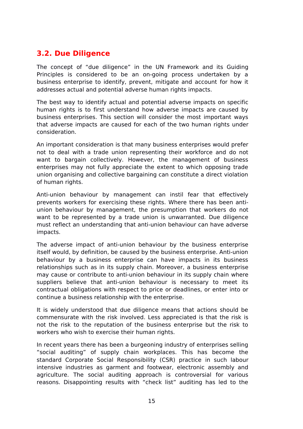## **3.2. Due Diligence**

The concept of "due diligence" in the UN Framework and its Guiding Principles is considered to be an on-going process undertaken by a business enterprise to identify, prevent, mitigate and account for how it addresses actual and potential adverse human rights impacts.

The best way to identify actual and potential adverse impacts on specific human rights is to first understand how adverse impacts are caused by business enterprises. This section will consider the most important ways that adverse impacts are caused for each of the two human rights under consideration.

An important consideration is that many business enterprises would prefer not to deal with a trade union representing their workforce and do not want to bargain collectively. However, the management of business enterprises may not fully appreciate the extent to which opposing trade union organising and collective bargaining can constitute a direct violation of human rights.

Anti-union behaviour by management can instil fear that effectively prevents workers for exercising these rights. Where there has been antiunion behaviour by management, the presumption that workers do not want to be represented by a trade union is unwarranted. Due diligence must reflect an understanding that anti-union behaviour can have adverse impacts.

The adverse impact of anti-union behaviour by the business enterprise itself would, by definition, be caused by the business enterprise. Anti-union behaviour by a business enterprise can have impacts in its business relationships such as in its supply chain. Moreover, a business enterprise may cause or contribute to anti-union behaviour in its supply chain where suppliers believe that anti-union behaviour is necessary to meet its contractual obligations with respect to price or deadlines, or enter into or continue a business relationship with the enterprise.

It is widely understood that due diligence means that actions should be commensurate with the risk involved. Less appreciated is that the risk is not the risk to the reputation of the business enterprise but the risk to workers who wish to exercise their human rights.

In recent years there has been a burgeoning industry of enterprises selling "social auditing" of supply chain workplaces. This has become the standard Corporate Social Responsibility (CSR) practice in such labour intensive industries as garment and footwear, electronic assembly and agriculture. The social auditing approach is controversial for various reasons. Disappointing results with "check list" auditing has led to the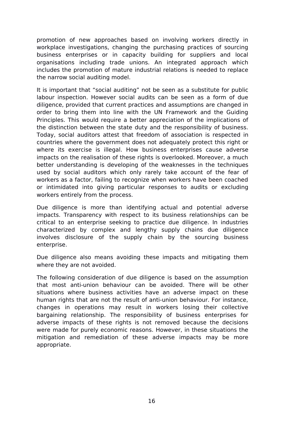promotion of new approaches based on involving workers directly in workplace investigations, changing the purchasing practices of sourcing business enterprises or in capacity building for suppliers and local organisations including trade unions. An integrated approach which includes the promotion of mature industrial relations is needed to replace the narrow social auditing model.

It is important that "social auditing" not be seen as a substitute for public labour inspection. However social audits can be seen as a form of due diligence, provided that current practices and assumptions are changed in order to bring them into line with the UN Framework and the Guiding Principles. This would require a better appreciation of the implications of the distinction between the state duty and the responsibility of business. Today, social auditors attest that freedom of association is respected in countries where the government does not adequately protect this right or where its exercise is illegal. How business enterprises cause adverse impacts on the realisation of these rights is overlooked. Moreover, a much better understanding is developing of the weaknesses in the techniques used by social auditors which only rarely take account of the fear of workers as a factor, failing to recognize when workers have been coached or intimidated into giving particular responses to audits or excluding workers entirely from the process.

Due diligence is more than identifying actual and potential adverse impacts. Transparency with respect to its business relationships can be critical to an enterprise seeking to practice due diligence. In industries characterized by complex and lengthy supply chains due diligence involves disclosure of the supply chain by the sourcing business enterprise.

Due diligence also means avoiding these impacts and mitigating them where they are not avoided.

The following consideration of due diligence is based on the assumption that most anti-union behaviour can be avoided. There will be other situations where business activities have an adverse impact on these human rights that are not the result of anti-union behaviour. For instance, changes in operations may result in workers losing their collective bargaining relationship. The responsibility of business enterprises for adverse impacts of these rights is not removed because the decisions were made for purely economic reasons. However, in these situations the mitigation and remediation of these adverse impacts may be more appropriate.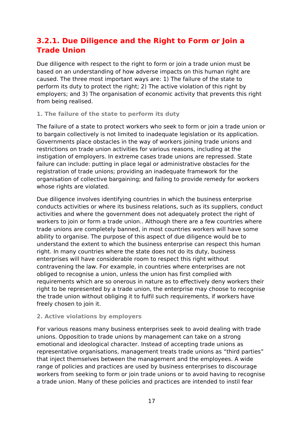## **3.2.1. Due Diligence and the Right to Form or Join a Trade Union**

Due diligence with respect to the right to form or join a trade union must be based on an understanding of how adverse impacts on this human right are caused. The three most important ways are: 1) The failure of the state to perform its duty to protect the right; 2) The active violation of this right by employers; and 3) The organisation of economic activity that prevents this right from being realised.

### **1. The failure of the state to perform its duty**

The failure of a state to protect workers who seek to form or join a trade union or to bargain collectively is not limited to inadequate legislation or its application. Governments place obstacles in the way of workers joining trade unions and restrictions on trade union activities for various reasons, including at the instigation of employers. In extreme cases trade unions are repressed. State failure can include: putting in place legal or administrative obstacles for the registration of trade unions; providing an inadequate framework for the organisation of collective bargaining; and failing to provide remedy for workers whose rights are violated.

Due diligence involves identifying countries in which the business enterprise conducts activities or where its business relations, such as its suppliers, conduct activities and where the government does not adequately protect the right of workers to join or form a trade union.. Although there are a few countries where trade unions are completely banned, in most countries workers will have some ability to organise. The purpose of this aspect of due diligence would be to understand the extent to which the business enterprise can respect this human right. In many countries where the state does not do its duty, business enterprises will have considerable room to respect this right without contravening the law. For example, in countries where enterprises are not obliged to recognise a union, unless the union has first complied with requirements which are so onerous in nature as to effectively deny workers their right to be represented by a trade union, the enterprise may choose to recognise the trade union without obliging it to fulfil such requirements, if workers have freely chosen to join it.

### **2. Active violations by employers**

For various reasons many business enterprises seek to avoid dealing with trade unions. Opposition to trade unions by management can take on a strong emotional and ideological character. Instead of accepting trade unions as representative organisations, management treats trade unions as "third parties" that inject themselves between the management and the employees. A wide range of policies and practices are used by business enterprises to discourage workers from seeking to form or join trade unions or to avoid having to recognise a trade union. Many of these policies and practices are intended to instil fear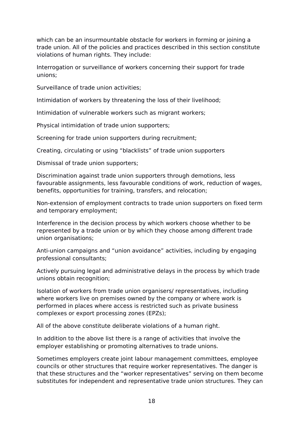which can be an insurmountable obstacle for workers in forming or joining a trade union. All of the policies and practices described in this section constitute violations of human rights. They include:

Interrogation or surveillance of workers concerning their support for trade unions;

Surveillance of trade union activities;

Intimidation of workers by threatening the loss of their livelihood;

Intimidation of vulnerable workers such as migrant workers;

Physical intimidation of trade union supporters;

Screening for trade union supporters during recruitment;

Creating, circulating or using "blacklists" of trade union supporters

Dismissal of trade union supporters;

Discrimination against trade union supporters through demotions, less favourable assignments, less favourable conditions of work, reduction of wages, benefits, opportunities for training, transfers, and relocation;

Non-extension of employment contracts to trade union supporters on fixed term and temporary employment;

Interference in the decision process by which workers choose whether to be represented by a trade union or by which they choose among different trade union organisations;

Anti-union campaigns and "union avoidance" activities, including by engaging professional consultants;

Actively pursuing legal and administrative delays in the process by which trade unions obtain recognition;

Isolation of workers from trade union organisers/ representatives, including where workers live on premises owned by the company or where work is performed in places where access is restricted such as private business complexes or export processing zones (EPZs);

All of the above constitute deliberate violations of a human right.

In addition to the above list there is a range of activities that involve the employer establishing or promoting alternatives to trade unions.

Sometimes employers create joint labour management committees, employee councils or other structures that require worker representatives. The danger is that these structures and the "worker representatives" serving on them become substitutes for independent and representative trade union structures. They can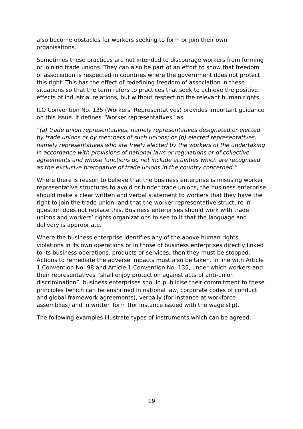also become obstacles for workers seeking to form or join their own organisations.

Sometimes these practices are not intended to discourage workers from forming or joining trade unions. They can also be part of an effort to show that freedom of association is respected in countries where the government does not protect this right. This has the effect of redefining freedom of association in these situations so that the term refers to practices that seek to achieve the positive effects of industrial relations, but without respecting the relevant human rights.

ILO Convention No. 135 (Workers' Representatives) provides important guidance on this issue. It defines "Worker representatives" as

"(a) trade union representatives, namely representatives designated or elected by trade unions or by members of such unions; or (b) elected representatives, namely representatives who are freely elected by the workers of the undertaking in accordance with provisions of national laws or regulations or of collective agreements and whose functions do not include activities which are recognised as the exclusive prerogative of trade unions in the country concerned."

Where there is reason to believe that the business enterprise is misusing worker representative structures to avoid or hinder trade unions, the business enterprise should make a clear written and verbal statement to workers that they have the right to join the trade union, and that the worker representative structure in question does not replace this. Business enterprises should work with trade unions and workers' rights organizations to see to it that the language and delivery is appropriate.

Where the business enterprise identifies any of the above human rights violations in its own operations or in those of business enterprises directly linked to its business operations, products or services, then they must be stopped. Actions to remediate the adverse impacts must also be taken. In line with Article 1 Convention No. 98 and Article 1 Convention No. 135, under which workers and their representatives "shall enjoy protection against acts of anti-union discrimination", business enterprises should publicise their commitment to these principles (which can be enshrined in national law, corporate codes of conduct and global framework agreements), verbally (for instance at workforce assemblies) and in written form (for instance issued with the wage slip).

The following examples illustrate types of instruments which can be agreed: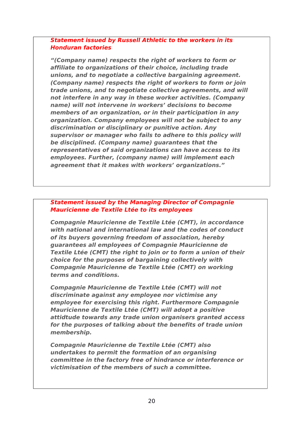### **Statement issued by Russell Athletic to the workers in its Honduran factories**

**"(Company name) respects the right of workers to form or affiliate to organizations of their choice, including trade unions, and to negotiate a collective bargaining agreement. (Company name) respects the right of workers to form or join trade unions, and to negotiate collective agreements, and will not interfere in any way in these worker activities. (Company name) will not intervene in workers' decisions to become members of an organization, or in their participation in any organization. Company employees will not be subject to any discrimination or disciplinary or punitive action. Any supervisor or manager who fails to adhere to this policy will be disciplined. (Company name) guarantees that the representatives of said organizations can have access to its employees. Further, (company name) will implement each agreement that it makes with workers' organizations."**

### **Statement issued by the Managing Director of Compagnie Mauricienne de Textile Ltée to its employees**

**Compagnie Mauricienne de Textile Ltée (CMT), in accordance with national and international law and the codes of conduct of its buyers governing freedom of association, hereby guarantees all employees of Compagnie Mauricienne de Textile Ltée (CMT) the right to join or to form a union of their choice for the purposes of bargaining collectively with Compagnie Mauricienne de Textile Ltée (CMT) on working terms and conditions.**

**Compagnie Mauricienne de Textile Ltée (CMT) will not discriminate against any employee nor victimise any employee for exercising this right. Furthermore Compagnie Mauricienne de Textile Ltée (CMT) will adopt a positive attidtude towards any trade union organisers granted access for the purposes of talking about the benefits of trade union membership.**

**Compagnie Mauricienne de Textile Ltée (CMT) also undertakes to permit the formation of an organising committee in the factory free of hindrance or interference or victimisation of the members of such a committee.**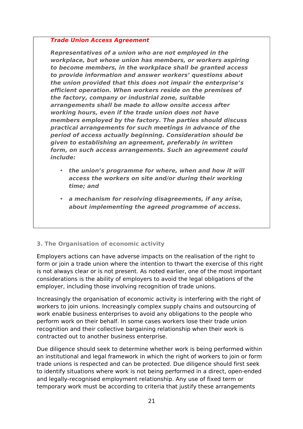#### **Trade Union Access Agreement**

**Representatives of a union who are not employed in the workplace, but whose union has members, or workers aspiring to become members, in the workplace shall be granted access to provide information and answer workers' questions about the union provided that this does not impair the enterprise's efficient operation. When workers reside on the premises of the factory, company or industrial zone, suitable arrangements shall be made to allow onsite access after working hours, even if the trade union does not have members employed by the factory. The parties should discuss practical arrangements for such meetings in advance of the period of access actually beginning. Consideration should be given to establishing an agreement, preferably in written form, on such access arrangements. Such an agreement could include:** 

- **the union's programme for where, when and how it will access the workers on site and/or during their working time; and**
- **a mechanism for resolving disagreements, if any arise, about implementing the agreed programme of access.**

### **3. The Organisation of economic activity**

Employers actions can have adverse impacts on the realisation of the right to form or join a trade union where the intention to thwart the exercise of this right is not always clear or is not present. As noted earlier, one of the most important considerations is the ability of employers to avoid the legal obligations of the employer, including those involving recognition of trade unions.

Increasingly the organisation of economic activity is interfering with the right of workers to join unions. Increasingly complex supply chains and outsourcing of work enable business enterprises to avoid any obligations to the people who perform work on their behalf. In some cases workers lose their trade union recognition and their collective bargaining relationship when their work is contracted out to another business enterprise.

Due diligence should seek to determine whether work is being performed within an institutional and legal framework in which the right of workers to join or form trade unions is respected and can be protected. Due diligence should first seek to identify situations where work is not being performed in a direct, open-ended and legally-recognised employment relationship. Any use of fixed term or temporary work must be according to criteria that justify these arrangements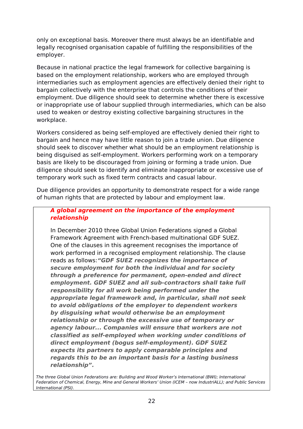only on exceptional basis. Moreover there must always be an identifiable and legally recognised organisation capable of fulfilling the responsibilities of the employer.

Because in national practice the legal framework for collective bargaining is based on the employment relationship, workers who are employed through intermediaries such as employment agencies are effectively denied their right to bargain collectively with the enterprise that controls the conditions of their employment. Due diligence should seek to determine whether there is excessive or inappropriate use of labour supplied through intermediaries, which can be also used to weaken or destroy existing collective bargaining structures in the workplace.

Workers considered as being self-employed are effectively denied their right to bargain and hence may have little reason to join a trade union. Due diligence should seek to discover whether what should be an employment relationship is being disguised as self-employment. Workers performing work on a temporary basis are likely to be discouraged from joining or forming a trade union. Due diligence should seek to identify and eliminate inappropriate or excessive use of temporary work such as fixed term contracts and casual labour.

Due diligence provides an opportunity to demonstrate respect for a wide range of human rights that are protected by labour and employment law.

### **A global agreement on the importance of the employment relationship**

In December 2010 three Global Union Federations signed a Global Framework Agreement with French-based multinational GDF SUEZ. One of the clauses in this agreement recognises the importance of work performed in a recognised employment relationship. The clause reads as follows:**"GDF SUEZ recognizes the importance of secure employment for both the individual and for society through a preference for permanent, open-ended and direct employment. GDF SUEZ and all sub-contractors shall take full responsibility for all work being performed under the appropriate legal framework and, in particular, shall not seek to avoid obligations of the employer to dependent workers by disguising what would otherwise be an employment relationship or through the excessive use of temporary or agency labour... Companies will ensure that workers are not classified as self-employed when working under conditions of direct employment (bogus self-employment). GDF SUEZ expects its partners to apply comparable principles and regards this to be an important basis for a lasting business relationship".**

The three Global Union Federations are: Building and Wood Worker's International (BWI); International Federation of Chemical, Energy, Mine and General Workers' Union (ICEM – now IndustriALL); and Public Services International (PSI).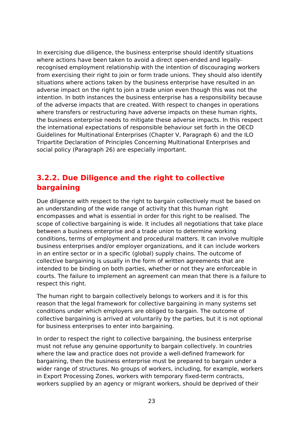In exercising due diligence, the business enterprise should identify situations where actions have been taken to avoid a direct open-ended and legallyrecognised employment relationship with the intention of discouraging workers from exercising their right to join or form trade unions. They should also identify situations where actions taken by the business enterprise have resulted in an adverse impact on the right to join a trade union even though this was not the intention. In both instances the business enterprise has a responsibility because of the adverse impacts that are created. With respect to changes in operations where transfers or restructuring have adverse impacts on these human rights, the business enterprise needs to mitigate these adverse impacts. In this respect the international expectations of responsible behaviour set forth in the OECD Guidelines for Multinational Enterprises (Chapter V, Paragraph 6) and the ILO Tripartite Declaration of Principles Concerning Multinational Enterprises and social policy (Paragraph 26) are especially important.

## **3.2.2. Due Diligence and the right to collective bargaining**

Due diligence with respect to the right to bargain collectively must be based on an understanding of the wide range of activity that this human right encompasses and what is essential in order for this right to be realised. The scope of collective bargaining is wide. It includes all negotiations that take place between a business enterprise and a trade union to determine working conditions, terms of employment and procedural matters. It can involve multiple business enterprises and/or employer organizations, and it can include workers in an entire sector or in a specific (global) supply chains. The outcome of collective bargaining is usually in the form of written agreements that are intended to be binding on both parties, whether or not they are enforceable in courts. The failure to implement an agreement can mean that there is a failure to respect this right.

The human right to bargain collectively belongs to workers and it is for this reason that the legal framework for collective bargaining in many systems set conditions under which employers are obliged to bargain. The outcome of collective bargaining is arrived at voluntarily by the parties, but it is not optional for business enterprises to enter into bargaining.

In order to respect the right to collective bargaining, the business enterprise must not refuse any genuine opportunity to bargain collectively. In countries where the law and practice does not provide a well-defined framework for bargaining, then the business enterprise must be prepared to bargain under a wider range of structures. No groups of workers, including, for example, workers in Export Processing Zones, workers with temporary fixed-term contracts, workers supplied by an agency or migrant workers, should be deprived of their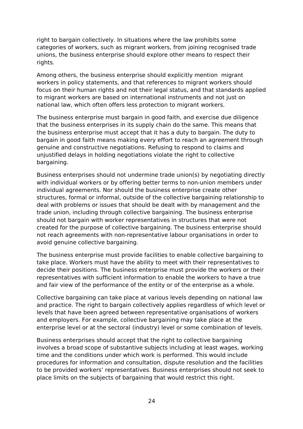right to bargain collectively. In situations where the law prohibits some categories of workers, such as migrant workers, from joining recognised trade unions, the business enterprise should explore other means to respect their rights.

Among others, the business enterprise should explicitly mention migrant workers in policy statements, and that references to migrant workers should focus on their human rights and not their legal status, and that standards applied to migrant workers are based on international instruments and not just on national law, which often offers less protection to migrant workers.

The business enterprise must bargain in good faith, and exercise due diligence that the business enterprises in its supply chain do the same. This means that the business enterprise must accept that it has a duty to bargain. The duty to bargain in good faith means making every effort to reach an agreement through genuine and constructive negotiations. Refusing to respond to claims and unjustified delays in holding negotiations violate the right to collective bargaining.

Business enterprises should not undermine trade union(s) by negotiating directly with individual workers or by offering better terms to non-union members under individual agreements. Nor should the business enterprise create other structures, formal or informal, outside of the collective bargaining relationship to deal with problems or issues that should be dealt with by management and the trade union, including through collective bargaining. The business enterprise should not bargain with worker representatives in structures that were not created for the purpose of collective bargaining. The business enterprise should not reach agreements with non-representative labour organisations in order to avoid genuine collective bargaining.

The business enterprise must provide facilities to enable collective bargaining to take place. Workers must have the ability to meet with their representatives to decide their positions. The business enterprise must provide the workers or their representatives with sufficient information to enable the workers to have a true and fair view of the performance of the entity or of the enterprise as a whole.

Collective bargaining can take place at various levels depending on national law and practice. The right to bargain collectively applies regardless of which level or levels that have been agreed between representative organisations of workers and employers. For example, collective bargaining may take place at the enterprise level or at the sectoral (industry) level or some combination of levels.

Business enterprises should accept that the right to collective bargaining involves a broad scope of substantive subjects including at least wages, working time and the conditions under which work is performed. This would include procedures for information and consultation, dispute resolution and the facilities to be provided workers' representatives. Business enterprises should not seek to place limits on the subjects of bargaining that would restrict this right.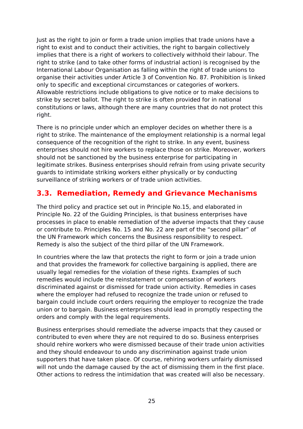Just as the right to join or form a trade union implies that trade unions have a right to exist and to conduct their activities, the right to bargain collectively implies that there is a right of workers to collectively withhold their labour. The right to strike (and to take other forms of industrial action) is recognised by the International Labour Organisation as falling within the right of trade unions to organise their activities under Article 3 of Convention No. 87. Prohibition is linked only to specific and exceptional circumstances or categories of workers. Allowable restrictions include obligations to give notice or to make decisions to strike by secret ballot. The right to strike is often provided for in national constitutions or laws, although there are many countries that do not protect this right.

There is no principle under which an employer decides on whether there is a right to strike. The maintenance of the employment relationship is a normal legal consequence of the recognition of the right to strike. In any event, business enterprises should not hire workers to replace those on strike. Moreover, workers should not be sanctioned by the business enterprise for participating in legitimate strikes. Business enterprises should refrain from using private security guards to intimidate striking workers either physically or by conducting surveillance of striking workers or of trade union activities.

## **3.3. Remediation, Remedy and Grievance Mechanisms**

The third policy and practice set out in Principle No.15, and elaborated in Principle No. 22 of the Guiding Principles, is that business enterprises have processes in place to enable remediation of the adverse impacts that they cause or contribute to. Principles No. 15 and No. 22 are part of the "second pillar" of the UN Framework which concerns the Business responsibility to respect. Remedy is also the subject of the third pillar of the UN Framework.

In countries where the law that protects the right to form or join a trade union and that provides the framework for collective bargaining is applied, there are usually legal remedies for the violation of these rights. Examples of such remedies would include the reinstatement or compensation of workers discriminated against or dismissed for trade union activity. Remedies in cases where the employer had refused to recognize the trade union or refused to bargain could include court orders requiring the employer to recognize the trade union or to bargain. Business enterprises should lead in promptly respecting the orders and comply with the legal requirements.

Business enterprises should remediate the adverse impacts that they caused or contributed to even where they are not required to do so. Business enterprises should rehire workers who were dismissed because of their trade union activities and they should endeavour to undo any discrimination against trade union supporters that have taken place. Of course, rehiring workers unfairly dismissed will not undo the damage caused by the act of dismissing them in the first place. Other actions to redress the intimidation that was created will also be necessary.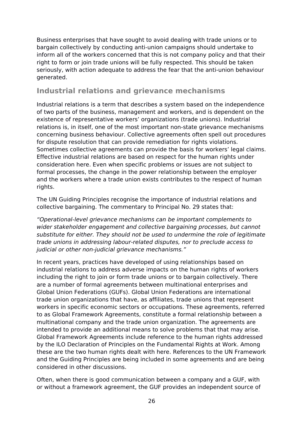Business enterprises that have sought to avoid dealing with trade unions or to bargain collectively by conducting anti-union campaigns should undertake to inform all of the workers concerned that this is not company policy and that their right to form or join trade unions will be fully respected. This should be taken seriously, with action adequate to address the fear that the anti-union behaviour generated.

### **Industrial relations and grievance mechanisms**

Industrial relations is a term that describes a system based on the independence of two parts of the business, management and workers, and is dependent on the existence of representative workers' organizations (trade unions). Industrial relations is, in itself, one of the most important non-state grievance mechanisms concerning business behaviour. Collective agreements often spell out procedures for dispute resolution that can provide remediation for rights violations. Sometimes collective agreements can provide the basis for workers' legal claims. Effective industrial relations are based on respect for the human rights under consideration here. Even when specific problems or issues are not subject to formal processes, the change in the power relationship between the employer and the workers where a trade union exists contributes to the respect of human rights.

The UN Guiding Principles recognise the importance of industrial relations and collective bargaining. The commentary to Principal No. 29 states that:

"Operational-level grievance mechanisms can be important complements to wider stakeholder engagement and collective bargaining processes, but cannot substitute for either. They should not be used to undermine the role of legitimate trade unions in addressing labour-related disputes, nor to preclude access to judicial or other non-judicial grievance mechanisms."

In recent years, practices have developed of using relationships based on industrial relations to address adverse impacts on the human rights of workers including the right to join or form trade unions or to bargain collectively. There are a number of formal agreements between multinational enterprises and Global Union Federations (GUFs). Global Union Federations are international trade union organizations that have, as affiliates, trade unions that represent workers in specific economic sectors or occupations. These agreements, referred to as Global Framework Agreements, constitute a formal relationship between a multinational company and the trade union organization. The agreements are intended to provide an additional means to solve problems that that may arise. Global Framework Agreements include reference to the human rights addressed by the ILO Declaration of Principles on the Fundamental Rights at Work. Among these are the two human rights dealt with here. References to the UN Framework and the Guiding Principles are being included in some agreements and are being considered in other discussions.

Often, when there is good communication between a company and a GUF, with or without a framework agreement, the GUF provides an independent source of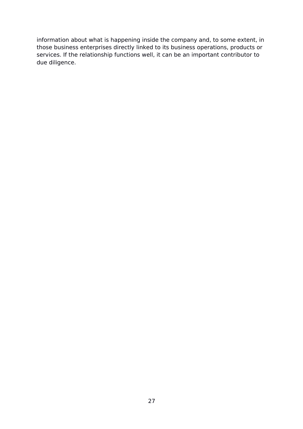information about what is happening inside the company and, to some extent, in those business enterprises directly linked to its business operations, products or services. If the relationship functions well, it can be an important contributor to due diligence.